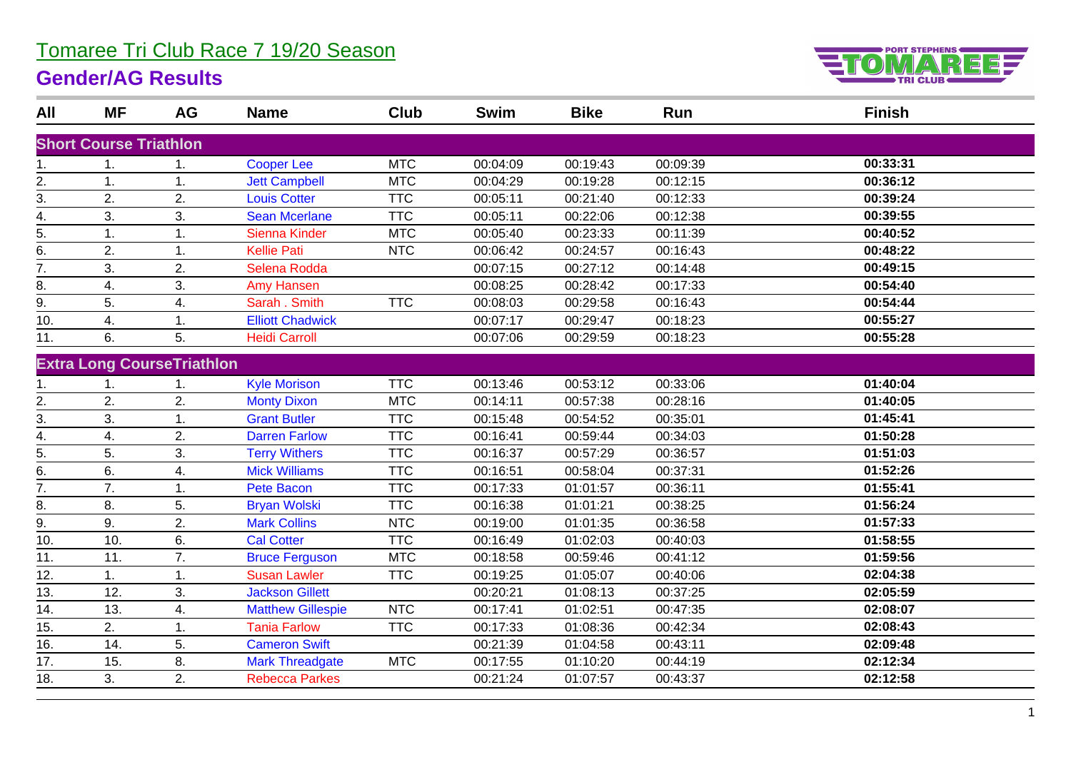## Tomaree Tri Club Race 7 19/20 Season

## **Gender/AG Results**



| All                 | MF                            | AG                                | <b>Name</b>              | <b>Club</b> | <b>Swim</b> | <b>Bike</b> | Run      | <b>Finish</b> |
|---------------------|-------------------------------|-----------------------------------|--------------------------|-------------|-------------|-------------|----------|---------------|
|                     | <b>Short Course Triathlon</b> |                                   |                          |             |             |             |          |               |
| 1.                  | 1.                            | 1.                                | <b>Cooper Lee</b>        | <b>MTC</b>  | 00:04:09    | 00:19:43    | 00:09:39 | 00:33:31      |
|                     | 1.                            | 1.                                | <b>Jett Campbell</b>     | <b>MTC</b>  | 00:04:29    | 00:19:28    | 00:12:15 | 00:36:12      |
| $\frac{2}{ }$<br>3. | 2.                            | 2.                                | <b>Louis Cotter</b>      | <b>TTC</b>  | 00:05:11    | 00:21:40    | 00:12:33 | 00:39:24      |
| 4.                  | 3.                            | 3.                                | <b>Sean Mcerlane</b>     | <b>TTC</b>  | 00:05:11    | 00:22:06    | 00:12:38 | 00:39:55      |
| 5.                  | 1.                            | 1.                                | Sienna Kinder            | <b>MTC</b>  | 00:05:40    | 00:23:33    | 00:11:39 | 00:40:52      |
| 6.                  | 2.                            | 1.                                | <b>Kellie Pati</b>       | <b>NTC</b>  | 00:06:42    | 00:24:57    | 00:16:43 | 00:48:22      |
| $\overline{7}$ .    | 3.                            | 2.                                | Selena Rodda             |             | 00:07:15    | 00:27:12    | 00:14:48 | 00:49:15      |
| 8.                  | 4.                            | 3.                                | <b>Amy Hansen</b>        |             | 00:08:25    | 00:28:42    | 00:17:33 | 00:54:40      |
| 9.                  | 5.                            | 4.                                | Sarah . Smith            | <b>TTC</b>  | 00:08:03    | 00:29:58    | 00:16:43 | 00:54:44      |
| 10.                 | 4.                            | 1.                                | <b>Elliott Chadwick</b>  |             | 00:07:17    | 00:29:47    | 00:18:23 | 00:55:27      |
| 11.                 | 6.                            | 5.                                | <b>Heidi Carroll</b>     |             | 00:07:06    | 00:29:59    | 00:18:23 | 00:55:28      |
|                     |                               |                                   |                          |             |             |             |          |               |
|                     |                               | <b>Extra Long CourseTriathlon</b> |                          |             |             |             |          |               |
| 1.                  | 1.                            | 1.                                | <b>Kyle Morison</b>      | <b>TTC</b>  | 00:13:46    | 00:53:12    | 00:33:06 | 01:40:04      |
| $\overline{2}$ .    | 2.                            | 2.                                | <b>Monty Dixon</b>       | <b>MTC</b>  | 00:14:11    | 00:57:38    | 00:28:16 | 01:40:05      |
| 3.                  | 3.                            | 1.                                | <b>Grant Butler</b>      | <b>TTC</b>  | 00:15:48    | 00:54:52    | 00:35:01 | 01:45:41      |
| 4.                  | 4.                            | 2.                                | <b>Darren Farlow</b>     | <b>TTC</b>  | 00:16:41    | 00:59:44    | 00:34:03 | 01:50:28      |
| 5.                  | 5.                            | 3.                                | <b>Terry Withers</b>     | <b>TTC</b>  | 00:16:37    | 00:57:29    | 00:36:57 | 01:51:03      |
| 6.                  | 6.                            | 4.                                | <b>Mick Williams</b>     | <b>TTC</b>  | 00:16:51    | 00:58:04    | 00:37:31 | 01:52:26      |
| 7.                  | 7.                            | 1.                                | Pete Bacon               | <b>TTC</b>  | 00:17:33    | 01:01:57    | 00:36:11 | 01:55:41      |
| 8.                  | 8.                            | 5.                                | <b>Bryan Wolski</b>      | <b>TTC</b>  | 00:16:38    | 01:01:21    | 00:38:25 | 01:56:24      |
| $\overline{9}$ .    | 9.                            | 2.                                | <b>Mark Collins</b>      | <b>NTC</b>  | 00:19:00    | 01:01:35    | 00:36:58 | 01:57:33      |
| 10.                 | 10.                           | 6.                                | <b>Cal Cotter</b>        | <b>TTC</b>  | 00:16:49    | 01:02:03    | 00:40:03 | 01:58:55      |
| 11.                 | 11.                           | 7.                                | <b>Bruce Ferguson</b>    | <b>MTC</b>  | 00:18:58    | 00:59:46    | 00:41:12 | 01:59:56      |
| 12.                 | 1.                            | 1.                                | <b>Susan Lawler</b>      | <b>TTC</b>  | 00:19:25    | 01:05:07    | 00:40:06 | 02:04:38      |
| 13.                 | 12.                           | 3.                                | <b>Jackson Gillett</b>   |             | 00:20:21    | 01:08:13    | 00:37:25 | 02:05:59      |
| 14.                 | 13.                           | 4.                                | <b>Matthew Gillespie</b> | <b>NTC</b>  | 00:17:41    | 01:02:51    | 00:47:35 | 02:08:07      |
| 15.                 | 2.                            | 1.                                | <b>Tania Farlow</b>      | <b>TTC</b>  | 00:17:33    | 01:08:36    | 00:42:34 | 02:08:43      |
| 16.                 | 14.                           | 5.                                | <b>Cameron Swift</b>     |             | 00:21:39    | 01:04:58    | 00:43:11 | 02:09:48      |
| 17.                 | 15.                           | 8.                                | <b>Mark Threadgate</b>   | <b>MTC</b>  | 00:17:55    | 01:10:20    | 00:44:19 | 02:12:34      |
| 18.                 | 3.                            | 2.                                | <b>Rebecca Parkes</b>    |             | 00:21:24    | 01:07:57    | 00:43:37 | 02:12:58      |